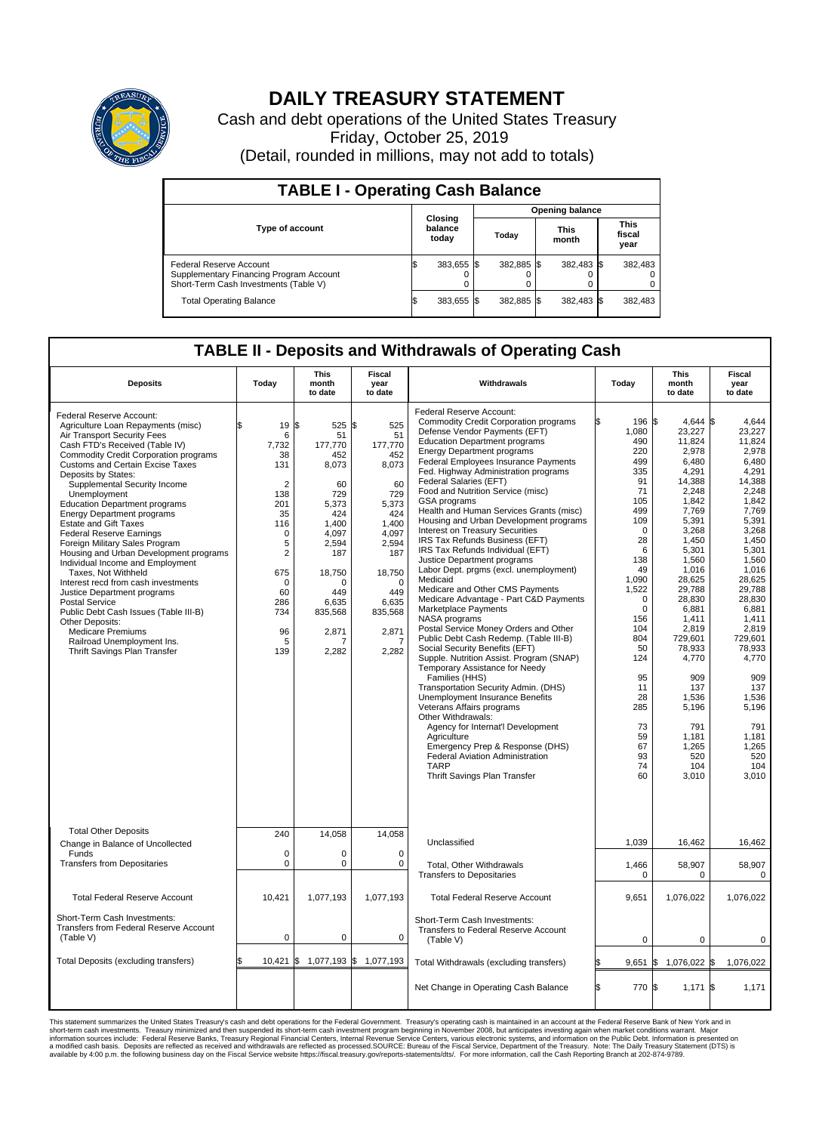

## **DAILY TREASURY STATEMENT**

Cash and debt operations of the United States Treasury Friday, October 25, 2019 (Detail, rounded in millions, may not add to totals)

| <b>TABLE I - Operating Cash Balance</b>                                                                     |                                    |            |       |                        |                      |            |  |                               |  |  |  |
|-------------------------------------------------------------------------------------------------------------|------------------------------------|------------|-------|------------------------|----------------------|------------|--|-------------------------------|--|--|--|
|                                                                                                             | <b>Closing</b><br>balance<br>today |            |       | <b>Opening balance</b> |                      |            |  |                               |  |  |  |
| <b>Type of account</b>                                                                                      |                                    |            | Today |                        | <b>This</b><br>month |            |  | <b>This</b><br>fiscal<br>year |  |  |  |
| Federal Reserve Account<br>Supplementary Financing Program Account<br>Short-Term Cash Investments (Table V) |                                    | 383,655 \$ |       | 382.885 \$             |                      | 382,483 \$ |  | 382,483                       |  |  |  |
| <b>Total Operating Balance</b>                                                                              | IЭ                                 | 383,655 \$ |       | 382,885 \$             |                      | 382,483 \$ |  | 382,483                       |  |  |  |

## **TABLE II - Deposits and Withdrawals of Operating Cash**

| <b>Deposits</b>                                                                                                                                                                                                                                                                                                                                                                                                                                                                                                                                                                                                                                                                                                                                                                                                                 | Today                                                                                                                                                                              | <b>This</b><br>month<br>to date                                                                                                                                        | <b>Fiscal</b><br>year<br>to date                                                                                                                                                  | Withdrawals                                                                                                                                                                                                                                                                                                                                                                                                                                                                                                                                                                                                                                                                                                                                                                                                                                                                                                                                                                                                                                                                                                                                                                                                                                                                                              | Today                                                                                                                                                                                                                                                        | <b>This</b><br>month<br>to date                                                                                                                                                                                                                                                                                             | <b>Fiscal</b><br>year<br>to date                                                                                                                                                                                                                                                                                       |
|---------------------------------------------------------------------------------------------------------------------------------------------------------------------------------------------------------------------------------------------------------------------------------------------------------------------------------------------------------------------------------------------------------------------------------------------------------------------------------------------------------------------------------------------------------------------------------------------------------------------------------------------------------------------------------------------------------------------------------------------------------------------------------------------------------------------------------|------------------------------------------------------------------------------------------------------------------------------------------------------------------------------------|------------------------------------------------------------------------------------------------------------------------------------------------------------------------|-----------------------------------------------------------------------------------------------------------------------------------------------------------------------------------|----------------------------------------------------------------------------------------------------------------------------------------------------------------------------------------------------------------------------------------------------------------------------------------------------------------------------------------------------------------------------------------------------------------------------------------------------------------------------------------------------------------------------------------------------------------------------------------------------------------------------------------------------------------------------------------------------------------------------------------------------------------------------------------------------------------------------------------------------------------------------------------------------------------------------------------------------------------------------------------------------------------------------------------------------------------------------------------------------------------------------------------------------------------------------------------------------------------------------------------------------------------------------------------------------------|--------------------------------------------------------------------------------------------------------------------------------------------------------------------------------------------------------------------------------------------------------------|-----------------------------------------------------------------------------------------------------------------------------------------------------------------------------------------------------------------------------------------------------------------------------------------------------------------------------|------------------------------------------------------------------------------------------------------------------------------------------------------------------------------------------------------------------------------------------------------------------------------------------------------------------------|
| Federal Reserve Account:<br>Agriculture Loan Repayments (misc)<br>Air Transport Security Fees<br>Cash FTD's Received (Table IV)<br>Commodity Credit Corporation programs<br><b>Customs and Certain Excise Taxes</b><br>Deposits by States:<br>Supplemental Security Income<br>Unemployment<br><b>Education Department programs</b><br><b>Energy Department programs</b><br><b>Estate and Gift Taxes</b><br><b>Federal Reserve Earnings</b><br>Foreign Military Sales Program<br>Housing and Urban Development programs<br>Individual Income and Employment<br>Taxes. Not Withheld<br>Interest recd from cash investments<br>Justice Department programs<br>Postal Service<br>Public Debt Cash Issues (Table III-B)<br>Other Deposits:<br><b>Medicare Premiums</b><br>Railroad Unemployment Ins.<br>Thrift Savings Plan Transfer | 19<br>\$<br>6<br>7,732<br>38<br>131<br>$\overline{2}$<br>138<br>201<br>35<br>116<br>$\mathbf 0$<br>5<br>$\overline{2}$<br>675<br>$\mathbf 0$<br>60<br>286<br>734<br>96<br>5<br>139 | 1\$<br>525<br>51<br>177,770<br>452<br>8,073<br>60<br>729<br>5,373<br>424<br>1,400<br>4,097<br>2,594<br>187<br>18,750<br>O<br>449<br>6,635<br>835,568<br>2,871<br>2,282 | \$<br>525<br>51<br>177,770<br>452<br>8,073<br>60<br>729<br>5,373<br>424<br>1,400<br>4,097<br>2,594<br>187<br>18,750<br>$\Omega$<br>449<br>6,635<br>835,568<br>2,871<br>7<br>2,282 | Federal Reserve Account:<br><b>Commodity Credit Corporation programs</b><br>Defense Vendor Payments (EFT)<br><b>Education Department programs</b><br><b>Energy Department programs</b><br><b>Federal Employees Insurance Payments</b><br>Fed. Highway Administration programs<br>Federal Salaries (EFT)<br>Food and Nutrition Service (misc)<br>GSA programs<br>Health and Human Services Grants (misc)<br>Housing and Urban Development programs<br>Interest on Treasury Securities<br>IRS Tax Refunds Business (EFT)<br>IRS Tax Refunds Individual (EFT)<br>Justice Department programs<br>Labor Dept. prgms (excl. unemployment)<br>Medicaid<br>Medicare and Other CMS Payments<br>Medicare Advantage - Part C&D Payments<br>Marketplace Payments<br>NASA programs<br>Postal Service Money Orders and Other<br>Public Debt Cash Redemp. (Table III-B)<br>Social Security Benefits (EFT)<br>Supple. Nutrition Assist. Program (SNAP)<br>Temporary Assistance for Needy<br>Families (HHS)<br>Transportation Security Admin. (DHS)<br>Unemployment Insurance Benefits<br>Veterans Affairs programs<br>Other Withdrawals:<br>Agency for Internat'l Development<br>Agriculture<br>Emergency Prep & Response (DHS)<br><b>Federal Aviation Administration</b><br><b>TARP</b><br>Thrift Savings Plan Transfer | 196 \$<br>1,080<br>490<br>220<br>499<br>335<br>91<br>71<br>105<br>499<br>109<br>$\Omega$<br>28<br>6<br>138<br>49<br>1,090<br>1,522<br>$\Omega$<br>$\mathbf 0$<br>156<br>104<br>804<br>50<br>124<br>95<br>11<br>28<br>285<br>73<br>59<br>67<br>93<br>74<br>60 | $4.644$ \$<br>23,227<br>11,824<br>2,978<br>6,480<br>4,291<br>14,388<br>2,248<br>1,842<br>7,769<br>5,391<br>3,268<br>1,450<br>5,301<br>1.560<br>1,016<br>28,625<br>29,788<br>28.830<br>6,881<br>1,411<br>2,819<br>729,601<br>78,933<br>4,770<br>909<br>137<br>1,536<br>5,196<br>791<br>1,181<br>1,265<br>520<br>104<br>3,010 | 4.644<br>23,227<br>11,824<br>2,978<br>6,480<br>4,291<br>14,388<br>2,248<br>1,842<br>7,769<br>5,391<br>3,268<br>1,450<br>5,301<br>1.560<br>1,016<br>28,625<br>29,788<br>28.830<br>6,881<br>1.411<br>2,819<br>729,601<br>78,933<br>4,770<br>909<br>137<br>1,536<br>5,196<br>791<br>1,181<br>1,265<br>520<br>104<br>3,010 |
| <b>Total Other Deposits</b><br>Change in Balance of Uncollected<br>Funds                                                                                                                                                                                                                                                                                                                                                                                                                                                                                                                                                                                                                                                                                                                                                        | 240<br>$\mathbf 0$                                                                                                                                                                 | 14,058<br>0                                                                                                                                                            | 14,058<br>0                                                                                                                                                                       | Unclassified                                                                                                                                                                                                                                                                                                                                                                                                                                                                                                                                                                                                                                                                                                                                                                                                                                                                                                                                                                                                                                                                                                                                                                                                                                                                                             | 1,039                                                                                                                                                                                                                                                        | 16,462                                                                                                                                                                                                                                                                                                                      | 16,462                                                                                                                                                                                                                                                                                                                 |
| <b>Transfers from Depositaries</b>                                                                                                                                                                                                                                                                                                                                                                                                                                                                                                                                                                                                                                                                                                                                                                                              | $\mathbf 0$                                                                                                                                                                        | 0                                                                                                                                                                      | $\mathbf 0$                                                                                                                                                                       | Total, Other Withdrawals<br><b>Transfers to Depositaries</b>                                                                                                                                                                                                                                                                                                                                                                                                                                                                                                                                                                                                                                                                                                                                                                                                                                                                                                                                                                                                                                                                                                                                                                                                                                             | 1,466<br>0                                                                                                                                                                                                                                                   | 58,907<br>0                                                                                                                                                                                                                                                                                                                 | 58,907<br>0                                                                                                                                                                                                                                                                                                            |
| <b>Total Federal Reserve Account</b>                                                                                                                                                                                                                                                                                                                                                                                                                                                                                                                                                                                                                                                                                                                                                                                            | 10,421                                                                                                                                                                             | 1,077,193                                                                                                                                                              | 1,077,193                                                                                                                                                                         | <b>Total Federal Reserve Account</b>                                                                                                                                                                                                                                                                                                                                                                                                                                                                                                                                                                                                                                                                                                                                                                                                                                                                                                                                                                                                                                                                                                                                                                                                                                                                     | 9,651                                                                                                                                                                                                                                                        | 1,076,022                                                                                                                                                                                                                                                                                                                   | 1,076,022                                                                                                                                                                                                                                                                                                              |
| Short-Term Cash Investments:<br>Transfers from Federal Reserve Account<br>(Table V)                                                                                                                                                                                                                                                                                                                                                                                                                                                                                                                                                                                                                                                                                                                                             | $\mathbf 0$                                                                                                                                                                        | 0                                                                                                                                                                      | 0                                                                                                                                                                                 | Short-Term Cash Investments:<br>Transfers to Federal Reserve Account<br>(Table V)                                                                                                                                                                                                                                                                                                                                                                                                                                                                                                                                                                                                                                                                                                                                                                                                                                                                                                                                                                                                                                                                                                                                                                                                                        | $\mathbf 0$                                                                                                                                                                                                                                                  | $\mathbf 0$                                                                                                                                                                                                                                                                                                                 | 0                                                                                                                                                                                                                                                                                                                      |
| Total Deposits (excluding transfers)                                                                                                                                                                                                                                                                                                                                                                                                                                                                                                                                                                                                                                                                                                                                                                                            | 10,421<br>\$                                                                                                                                                                       | $$1,077,193$ \$ 1,077,193                                                                                                                                              |                                                                                                                                                                                   | Total Withdrawals (excluding transfers)                                                                                                                                                                                                                                                                                                                                                                                                                                                                                                                                                                                                                                                                                                                                                                                                                                                                                                                                                                                                                                                                                                                                                                                                                                                                  | 9,651                                                                                                                                                                                                                                                        | 1,076,022 \$<br><b>S</b>                                                                                                                                                                                                                                                                                                    | 1,076,022                                                                                                                                                                                                                                                                                                              |
|                                                                                                                                                                                                                                                                                                                                                                                                                                                                                                                                                                                                                                                                                                                                                                                                                                 |                                                                                                                                                                                    |                                                                                                                                                                        |                                                                                                                                                                                   | Net Change in Operating Cash Balance                                                                                                                                                                                                                                                                                                                                                                                                                                                                                                                                                                                                                                                                                                                                                                                                                                                                                                                                                                                                                                                                                                                                                                                                                                                                     | ß.<br>770 \$                                                                                                                                                                                                                                                 | 1,171                                                                                                                                                                                                                                                                                                                       | l\$<br>1,171                                                                                                                                                                                                                                                                                                           |

This statement summarizes the United States Treasury's cash and debt operations for the Federal Government. Treasury operating in November 2008, but anticinates investing again when market conditions warrant. Major York an